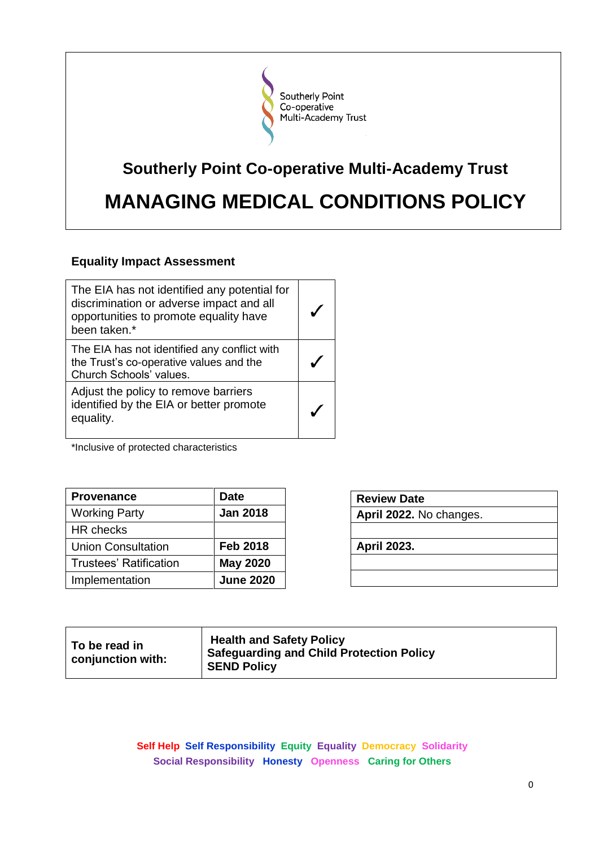

# **Southerly Point Co-operative Multi-Academy Trust MANAGING MEDICAL CONDITIONS POLICY**

# **Equality Impact Assessment**

| The EIA has not identified any potential for<br>discrimination or adverse impact and all<br>opportunities to promote equality have<br>been taken.* |  |
|----------------------------------------------------------------------------------------------------------------------------------------------------|--|
| The EIA has not identified any conflict with<br>the Trust's co-operative values and the<br>Church Schools' values.                                 |  |
| Adjust the policy to remove barriers<br>identified by the EIA or better promote<br>equality.                                                       |  |

\*Inclusive of protected characteristics

| <b>Provenance</b>             | Date             |
|-------------------------------|------------------|
| <b>Working Party</b>          | <b>Jan 2018</b>  |
| HR checks                     |                  |
| <b>Union Consultation</b>     | <b>Feb 2018</b>  |
| <b>Trustees' Ratification</b> | <b>May 2020</b>  |
| Implementation                | <b>June 2020</b> |

| <b>Review Date</b>      |
|-------------------------|
| April 2022. No changes. |
|                         |
| <b>April 2023.</b>      |
|                         |
|                         |

| ∣ To be read in<br>$\,$ conjunction with: | <b>Health and Safety Policy</b><br><b>Safeguarding and Child Protection Policy</b><br><b>SEND Policy</b> |
|-------------------------------------------|----------------------------------------------------------------------------------------------------------|
|-------------------------------------------|----------------------------------------------------------------------------------------------------------|

**Self Help Self Responsibility Equity Equality Democracy Solidarity Social Responsibility Honesty Openness Caring for Others**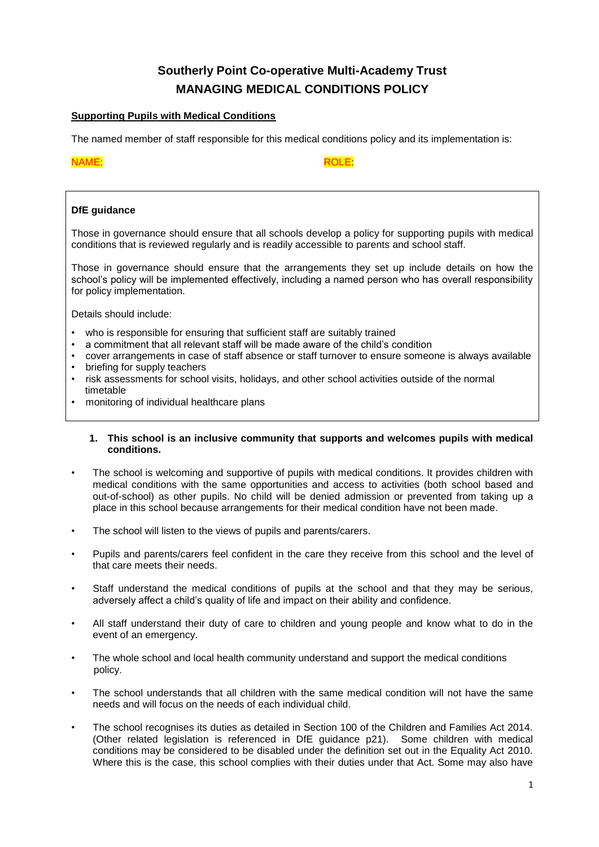# **Southerly Point Co-operative Multi-Academy Trust MANAGING MEDICAL CONDITIONS POLICY**

# **Supporting Pupils with Medical Conditions**

The named member of staff responsible for this medical conditions policy and its implementation is:

## NAME: ROLE:

# **DfE guidance**

Those in governance should ensure that all schools develop a policy for supporting pupils with medical conditions that is reviewed regularly and is readily accessible to parents and school staff.

Those in governance should ensure that the arrangements they set up include details on how the school's policy will be implemented effectively, including a named person who has overall responsibility for policy implementation.

Details should include:

- who is responsible for ensuring that sufficient staff are suitably trained
- a commitment that all relevant staff will be made aware of the child's condition
- cover arrangements in case of staff absence or staff turnover to ensure someone is always available
- briefing for supply teachers
- risk assessments for school visits, holidays, and other school activities outside of the normal timetable
- monitoring of individual healthcare plans

#### **1. This school is an inclusive community that supports and welcomes pupils with medical conditions.**

- The school is welcoming and supportive of pupils with medical conditions. It provides children with medical conditions with the same opportunities and access to activities (both school based and out-of-school) as other pupils. No child will be denied admission or prevented from taking up a place in this school because arrangements for their medical condition have not been made.
- The school will listen to the views of pupils and parents/carers.
- Pupils and parents/carers feel confident in the care they receive from this school and the level of that care meets their needs.
- Staff understand the medical conditions of pupils at the school and that they may be serious, adversely affect a child's quality of life and impact on their ability and confidence.
- All staff understand their duty of care to children and young people and know what to do in the event of an emergency.
- The whole school and local health community understand and support the medical conditions policy.
- The school understands that all children with the same medical condition will not have the same needs and will focus on the needs of each individual child.
- The school recognises its duties as detailed in Section 100 of the Children and Families Act 2014. (Other related legislation is referenced in DfE guidance p21). Some children with medical conditions may be considered to be disabled under the definition set out in the Equality Act 2010. Where this is the case, this school complies with their duties under that Act. Some may also have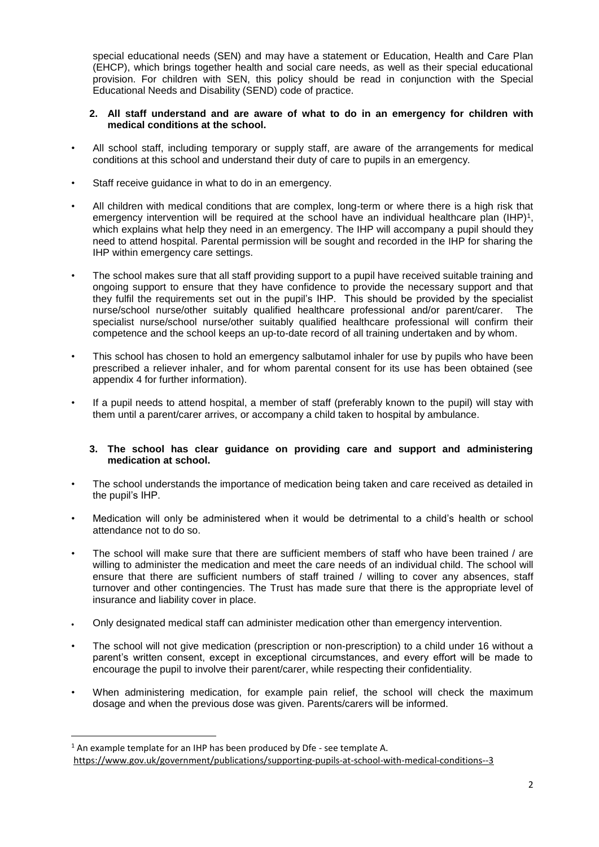special educational needs (SEN) and may have a statement or Education, Health and Care Plan (EHCP), which brings together health and social care needs, as well as their special educational provision. For children with SEN, this policy should be read in conjunction with the Special Educational Needs and Disability (SEND) code of practice.

# **2. All staff understand and are aware of what to do in an emergency for children with medical conditions at the school.**

- All school staff, including temporary or supply staff, are aware of the arrangements for medical conditions at this school and understand their duty of care to pupils in an emergency.
- Staff receive guidance in what to do in an emergency.
- All children with medical conditions that are complex, long-term or where there is a high risk that emergency intervention will be required at the school have an individual healthcare plan (IHP)<sup>1</sup>, which explains what help they need in an emergency. The IHP will accompany a pupil should they need to attend hospital. Parental permission will be sought and recorded in the IHP for sharing the IHP within emergency care settings.
- The school makes sure that all staff providing support to a pupil have received suitable training and ongoing support to ensure that they have confidence to provide the necessary support and that they fulfil the requirements set out in the pupil's IHP. This should be provided by the specialist nurse/school nurse/other suitably qualified healthcare professional and/or parent/carer. The specialist nurse/school nurse/other suitably qualified healthcare professional will confirm their competence and the school keeps an up-to-date record of all training undertaken and by whom.
- This school has chosen to hold an emergency salbutamol inhaler for use by pupils who have been prescribed a reliever inhaler, and for whom parental consent for its use has been obtained (see appendix 4 for further information).
- If a pupil needs to attend hospital, a member of staff (preferably known to the pupil) will stay with them until a parent/carer arrives, or accompany a child taken to hospital by ambulance.

## **3. The school has clear guidance on providing care and support and administering medication at school.**

- The school understands the importance of medication being taken and care received as detailed in the pupil's IHP.
- Medication will only be administered when it would be detrimental to a child's health or school attendance not to do so.
- The school will make sure that there are sufficient members of staff who have been trained / are willing to administer the medication and meet the care needs of an individual child. The school will ensure that there are sufficient numbers of staff trained / willing to cover any absences, staff turnover and other contingencies. The Trust has made sure that there is the appropriate level of insurance and liability cover in place.
- Only designated medical staff can administer medication other than emergency intervention.
- The school will not give medication (prescription or non-prescription) to a child under 16 without a parent's written consent, except in exceptional circumstances, and every effort will be made to encourage the pupil to involve their parent/carer, while respecting their confidentiality.
- When administering medication, for example pain relief, the school will check the maximum dosage and when the previous dose was given. Parents/carers will be informed.

 $\overline{a}$ 

 $1$  An example template for an IHP has been produced by Dfe - see template A. <https://www.gov.uk/government/publications/supporting-pupils-at-school-with-medical-conditions--3>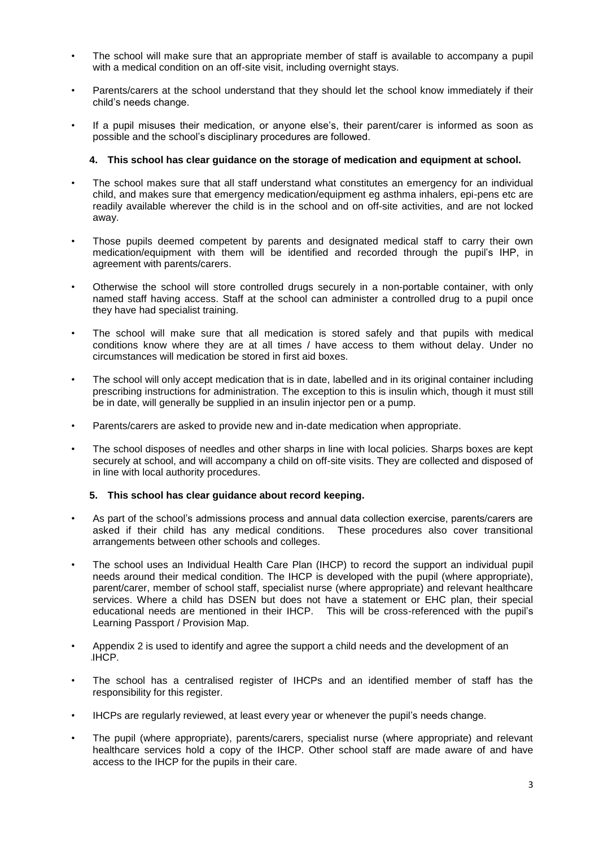- The school will make sure that an appropriate member of staff is available to accompany a pupil with a medical condition on an off-site visit, including overnight stays.
- Parents/carers at the school understand that they should let the school know immediately if their child's needs change.
- If a pupil misuses their medication, or anyone else's, their parent/carer is informed as soon as possible and the school's disciplinary procedures are followed.

## **4. This school has clear guidance on the storage of medication and equipment at school.**

- The school makes sure that all staff understand what constitutes an emergency for an individual child, and makes sure that emergency medication/equipment eg asthma inhalers, epi-pens etc are readily available wherever the child is in the school and on off-site activities, and are not locked away.
- Those pupils deemed competent by parents and designated medical staff to carry their own medication/equipment with them will be identified and recorded through the pupil's IHP, in agreement with parents/carers.
- Otherwise the school will store controlled drugs securely in a non-portable container, with only named staff having access. Staff at the school can administer a controlled drug to a pupil once they have had specialist training.
- The school will make sure that all medication is stored safely and that pupils with medical conditions know where they are at all times / have access to them without delay. Under no circumstances will medication be stored in first aid boxes.
- The school will only accept medication that is in date, labelled and in its original container including prescribing instructions for administration. The exception to this is insulin which, though it must still be in date, will generally be supplied in an insulin injector pen or a pump.
- Parents/carers are asked to provide new and in-date medication when appropriate.
- The school disposes of needles and other sharps in line with local policies. Sharps boxes are kept securely at school, and will accompany a child on off-site visits. They are collected and disposed of in line with local authority procedures.

#### **5. This school has clear guidance about record keeping.**

- As part of the school's admissions process and annual data collection exercise, parents/carers are asked if their child has any medical conditions. These procedures also cover transitional arrangements between other schools and colleges.
- The school uses an Individual Health Care Plan (IHCP) to record the support an individual pupil needs around their medical condition. The IHCP is developed with the pupil (where appropriate), parent/carer, member of school staff, specialist nurse (where appropriate) and relevant healthcare services. Where a child has DSEN but does not have a statement or EHC plan, their special educational needs are mentioned in their IHCP. This will be cross-referenced with the pupil's Learning Passport / Provision Map.
- Appendix 2 is used to identify and agree the support a child needs and the development of an JHCP.
- The school has a centralised register of IHCPs and an identified member of staff has the responsibility for this register.
- IHCPs are regularly reviewed, at least every year or whenever the pupil's needs change.
- The pupil (where appropriate), parents/carers, specialist nurse (where appropriate) and relevant healthcare services hold a copy of the IHCP. Other school staff are made aware of and have access to the IHCP for the pupils in their care.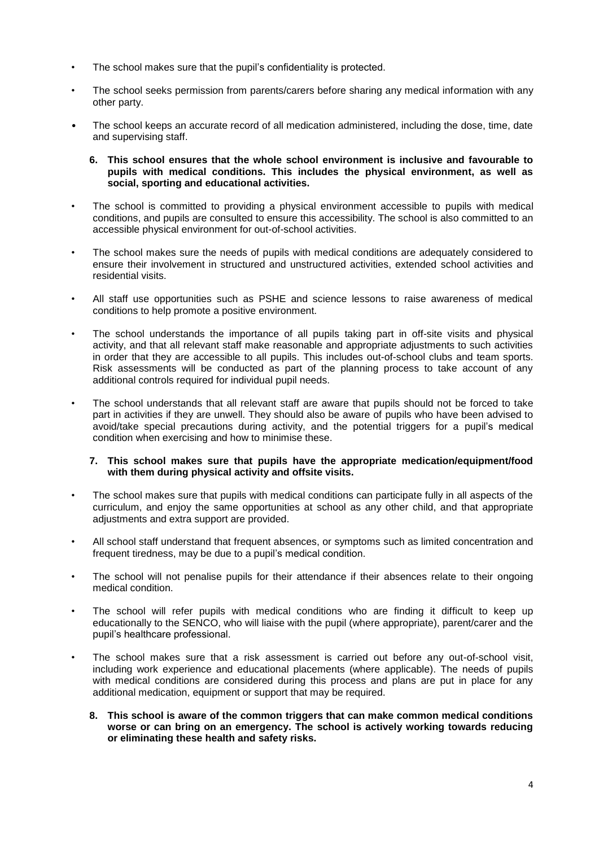- The school makes sure that the pupil's confidentiality is protected.
- The school seeks permission from parents/carers before sharing any medical information with any other party.
- The school keeps an accurate record of all medication administered, including the dose, time, date and supervising staff.
	- **6. This school ensures that the whole school environment is inclusive and favourable to pupils with medical conditions. This includes the physical environment, as well as social, sporting and educational activities.**
- The school is committed to providing a physical environment accessible to pupils with medical conditions, and pupils are consulted to ensure this accessibility. The school is also committed to an accessible physical environment for out-of-school activities.
- The school makes sure the needs of pupils with medical conditions are adequately considered to ensure their involvement in structured and unstructured activities, extended school activities and residential visits.
- All staff use opportunities such as PSHE and science lessons to raise awareness of medical conditions to help promote a positive environment.
- The school understands the importance of all pupils taking part in off-site visits and physical activity, and that all relevant staff make reasonable and appropriate adjustments to such activities in order that they are accessible to all pupils. This includes out-of-school clubs and team sports. Risk assessments will be conducted as part of the planning process to take account of any additional controls required for individual pupil needs.
- The school understands that all relevant staff are aware that pupils should not be forced to take part in activities if they are unwell. They should also be aware of pupils who have been advised to avoid/take special precautions during activity, and the potential triggers for a pupil's medical condition when exercising and how to minimise these.

#### **7. This school makes sure that pupils have the appropriate medication/equipment/food with them during physical activity and offsite visits.**

- The school makes sure that pupils with medical conditions can participate fully in all aspects of the curriculum, and enjoy the same opportunities at school as any other child, and that appropriate adjustments and extra support are provided.
- All school staff understand that frequent absences, or symptoms such as limited concentration and frequent tiredness, may be due to a pupil's medical condition.
- The school will not penalise pupils for their attendance if their absences relate to their ongoing medical condition.
- The school will refer pupils with medical conditions who are finding it difficult to keep up educationally to the SENCO, who will liaise with the pupil (where appropriate), parent/carer and the pupil's healthcare professional.
- The school makes sure that a risk assessment is carried out before any out-of-school visit. including work experience and educational placements (where applicable). The needs of pupils with medical conditions are considered during this process and plans are put in place for any additional medication, equipment or support that may be required.
	- **8. This school is aware of the common triggers that can make common medical conditions worse or can bring on an emergency. The school is actively working towards reducing or eliminating these health and safety risks.**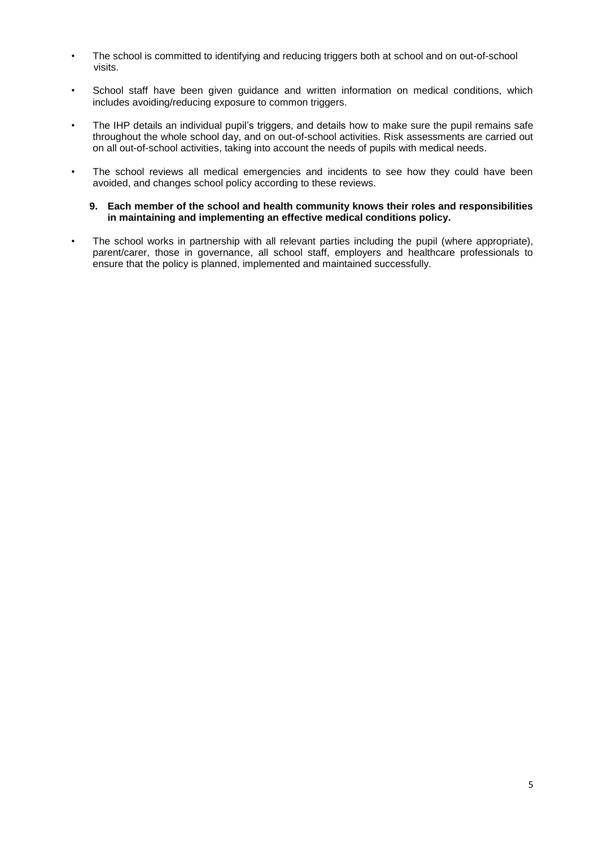- The school is committed to identifying and reducing triggers both at school and on out-of-school visits.
- School staff have been given guidance and written information on medical conditions, which includes avoiding/reducing exposure to common triggers.
- The IHP details an individual pupil's triggers, and details how to make sure the pupil remains safe throughout the whole school day, and on out-of-school activities. Risk assessments are carried out on all out-of-school activities, taking into account the needs of pupils with medical needs.
- The school reviews all medical emergencies and incidents to see how they could have been avoided, and changes school policy according to these reviews.
	- **9. Each member of the school and health community knows their roles and responsibilities in maintaining and implementing an effective medical conditions policy.**
- The school works in partnership with all relevant parties including the pupil (where appropriate), parent/carer, those in governance, all school staff, employers and healthcare professionals to ensure that the policy is planned, implemented and maintained successfully.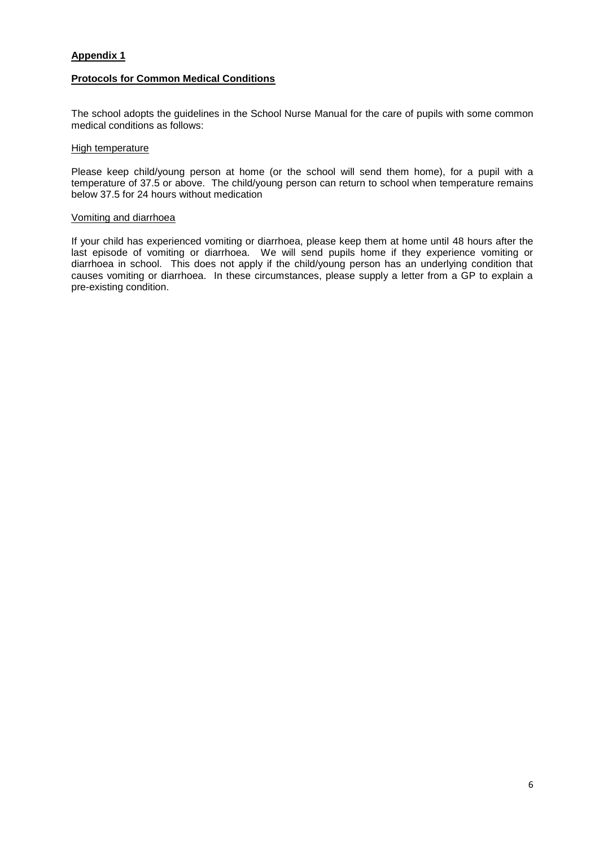# **Appendix 1**

# **Protocols for Common Medical Conditions**

The school adopts the guidelines in the School Nurse Manual for the care of pupils with some common medical conditions as follows:

## High temperature

Please keep child/young person at home (or the school will send them home), for a pupil with a temperature of 37.5 or above. The child/young person can return to school when temperature remains below 37.5 for 24 hours without medication

#### Vomiting and diarrhoea

If your child has experienced vomiting or diarrhoea, please keep them at home until 48 hours after the last episode of vomiting or diarrhoea. We will send pupils home if they experience vomiting or diarrhoea in school. This does not apply if the child/young person has an underlying condition that causes vomiting or diarrhoea. In these circumstances, please supply a letter from a GP to explain a pre-existing condition.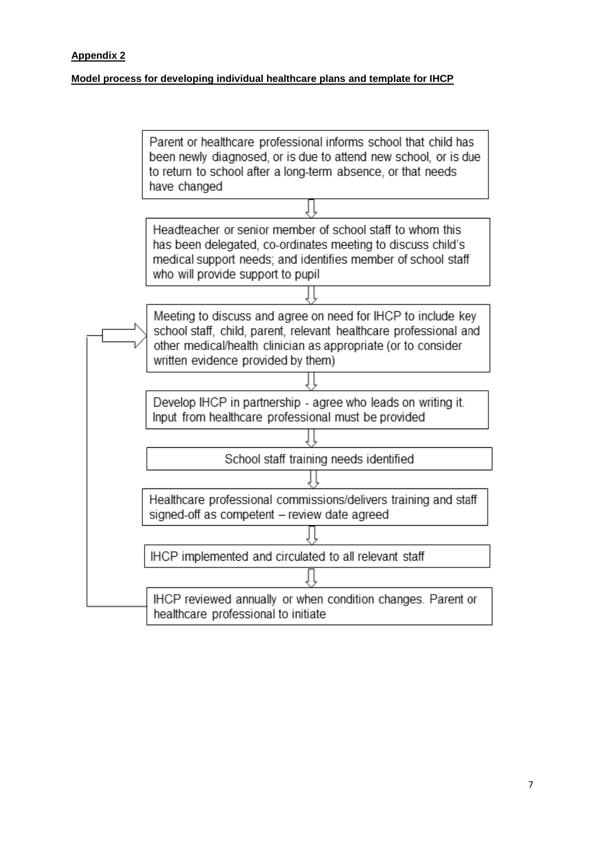# **Appendix 2**

# **Model process for developing individual healthcare plans and template for IHCP**

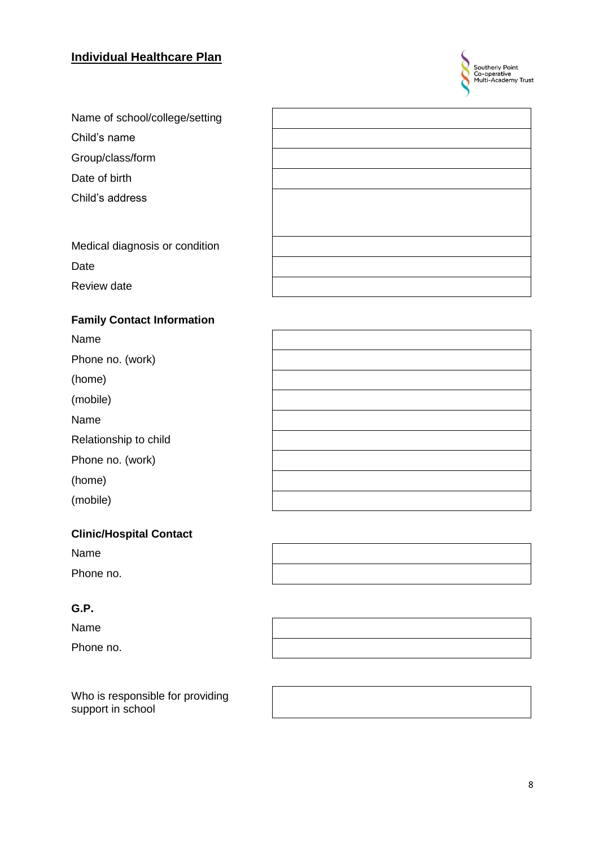# **Individual Healthcare Plan**



| Name of school/college/setting |  |
|--------------------------------|--|
| Child's name                   |  |
| Group/class/form               |  |
| Date of birth                  |  |
| Child's address                |  |
|                                |  |
| Medical diagnosis or condition |  |
| Date                           |  |
| Review date                    |  |
|                                |  |

# **Family Contact Information**

Name

Phone no. (work)

(home)

(mobile)

Name

Phone no. (work)

(home)

(mobile)

# **Clinic/Hospital Contact**

Name Phone no.

# **G.P .**

Name

Phone no.

Who is responsible for providing support in school



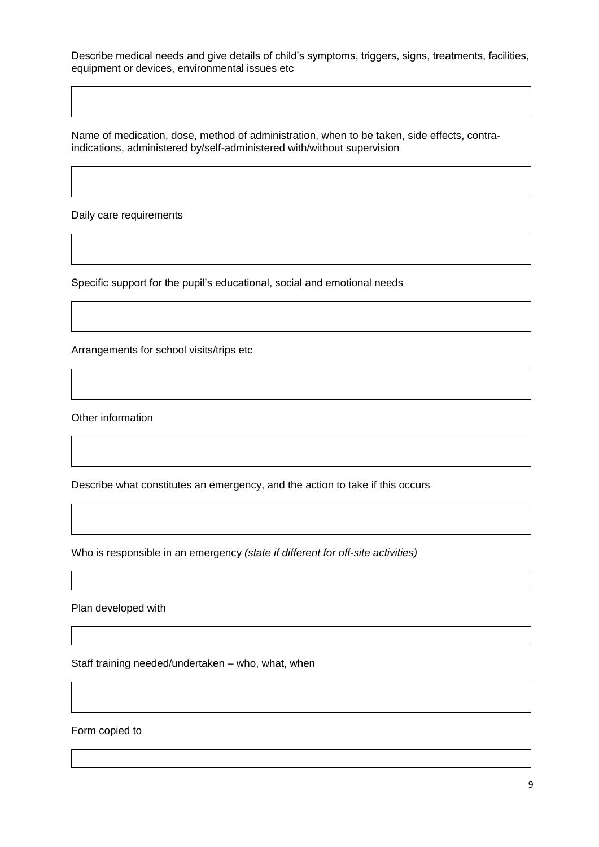Describe medical needs and give details of child's symptoms, triggers, signs, treatments, facilities, equipment or devices, environmental issues etc

Name of medication, dose, method of administration, when to be taken, side effects, contraindications, administered by/self-administered with/without supervision

Daily care requirements

Specific support for the pupil's educational, social and emotional needs

Arrangements for school visits/trips etc

Other information

Describe what constitutes an emergency, and the action to take if this occurs

Who is responsible in an emergency *(state if different for off-site activities)*

Plan developed with

Staff training needed/undertaken – who, what, when

Form copied to